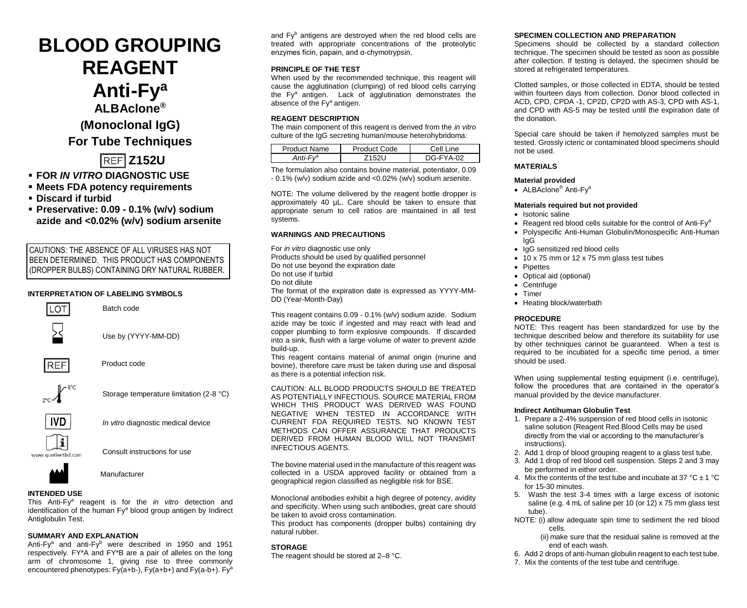# **BLOOD GROUPING REAGENT Anti-Fy<sup>a</sup> ALBAclone® (Monoclonal IgG) For Tube Techniques**

**Z152U**

- **FOR** *IN VITRO* **DIAGNOSTIC USE**
- **Meets FDA potency requirements**

▪ **Discard if turbid**

▪ **Preservative: 0.09 - 0.1% (w/v) sodium azide and <0.02% (w/v) sodium arsenite**

CAUTIONS: THE ABSENCE OF ALL VIRUSES HAS NOT BEEN DETERMINED. THIS PRODUCT HAS COMPONENTS (DROPPER BULBS) CONTAINING DRY NATURAL RUBBER.

## **INTERPRETATION OF LABELING SYMBOLS**



Batch code

Use by (YYYY-MM-DD)



Product code



Storage temperature limitation (2-8 °C)



*In vitro* diagnostic medical device



Consult instructions for use



Manufacturer

## **INTENDED USE**

This Anti-Fy<sup>a</sup> reagent is for the *in vitro* detection and identification of the human Fy<sup>a</sup> blood group antigen by Indirect Antiglobulin Test.

## **SUMMARY AND EXPLANATION**

Anti-Fy<sup>a</sup> and anti-Fy<sup>b</sup> were described in 1950 and 1951 respectively. FY\*A and FY\*B are a pair of alleles on the long arm of chromosome 1, giving rise to three commonly encountered phenotypes: Fy(a+b-), Fy(a+b+) and Fy(a-b+). Fy<sup>a</sup>

and Fy<sup>b</sup> antigens are destroyed when the red blood cells are treated with appropriate concentrations of the proteolytic enzymes ficin, papain, and α-chymotrypsin.

## **PRINCIPLE OF THE TEST**

When used by the recommended technique, this reagent will cause the agglutination (clumping) of red blood cells carrying the Fy<sup>a</sup> antigen. Lack of agglutination demonstrates the absence of the Fy<sup>a</sup> antigen.

## **REAGENT DESCRIPTION**

The main component of this reagent is derived from the *in vitro* culture of the IgG secreting human/mouse heterohybridoma:

| Product Name | roduct Code | ີ່ໆe<br>Cell |  |
|--------------|-------------|--------------|--|
|              |             | 74-02        |  |

The formulation also contains bovine material, potentiator, 0.09 - 0.1% (w/v) sodium azide and <0.02% (w/v) sodium arsenite.

NOTE: The volume delivered by the reagent bottle dropper is approximately 40 µL. Care should be taken to ensure that appropriate serum to cell ratios are maintained in all test systems.

## **WARNINGS AND PRECAUTIONS**

For *in vitro* diagnostic use only Products should be used by qualified personnel Do not use beyond the expiration date Do not use if turbid Do not dilute The format of the expiration date is expressed as YYYY-MM-DD (Year-Month-Day)

This reagent contains 0.09 - 0.1% (w/v) sodium azide. Sodium azide may be toxic if ingested and may react with lead and copper plumbing to form explosive compounds. If discarded into a sink, flush with a large volume of water to prevent azide build-up.

This reagent contains material of animal origin (murine and bovine), therefore care must be taken during use and disposal as there is a potential infection risk.

CAUTION: ALL BLOOD PRODUCTS SHOULD BE TREATED AS POTENTIALLY INFECTIOUS. SOURCE MATERIAL FROM WHICH THIS PRODUCT WAS DERIVED WAS FOUND NEGATIVE WHEN TESTED IN ACCORDANCE WITH CURRENT FDA REQUIRED TESTS. NO KNOWN TEST METHODS CAN OFFER ASSURANCE THAT PRODUCTS DERIVED FROM HUMAN BLOOD WILL NOT TRANSMIT INFECTIOUS AGENTS.

The bovine material used in the manufacture of this reagent was collected in a USDA approved facility or obtained from a geographical region classified as negligible risk for BSE.

Monoclonal antibodies exhibit a high degree of potency, avidity and specificity. When using such antibodies, great care should be taken to avoid cross contamination*.*

This product has components (dropper bulbs) containing dry natural rubber.

#### **STORAGE**

The reagent should be stored at 2–8 °C.

## **SPECIMEN COLLECTION AND PREPARATION**

Specimens should be collected by a standard collection technique. The specimen should be tested as soon as possible after collection. If testing is delayed, the specimen should be stored at refrigerated temperatures.

Clotted samples, or those collected in EDTA, should be tested within fourteen days from collection. Donor blood collected in ACD, CPD, CPDA -1, CP2D, CP2D with AS-3, CPD with AS-1, and CPD with AS-5 may be tested until the expiration date of the donation.

Special care should be taken if hemolyzed samples must be tested. Grossly icteric or contaminated blood specimens should not be used.

## **MATERIALS**

#### **Material provided**

• ALBAclone<sup>®</sup> Anti-Fy<sup>a</sup>

## **Materials required but not provided**

- Isotonic saline
- Reagent red blood cells suitable for the control of Anti-Fy<sup>a</sup>
- Polyspecific Anti-Human Globulin/Monospecific Anti-Human
- IgG IgG sensitized red blood cells
- 10 x 75 mm or 12 x 75 mm glass test tubes
- **Pipettes**
- Optical aid (optional)
- Centrifuge
- Timer
- Heating block/waterbath

## **PROCEDURE**

NOTE: This reagent has been standardized for use by the technique described below and therefore its suitability for use by other techniques cannot be guaranteed. When a test is required to be incubated for a specific time period, a timer should be used.

When using supplemental testing equipment (i.e. centrifuge), follow the procedures that are contained in the operator's manual provided by the device manufacturer.

## **Indirect Antihuman Globulin Test**

- 1. Prepare a 2-4% suspension of red blood cells in isotonic saline solution (Reagent Red Blood Cells may be used directly from the vial or according to the manufacturer's instructions).
- 2. Add 1 drop of blood grouping reagent to a glass test tube.
- 3. Add 1 drop of red blood cell suspension. Steps 2 and 3 may be performed in either order.
- 4. Mix the contents of the test tube and incubate at 37  $^{\circ}$ C  $\pm$  1  $^{\circ}$ C for 15-30 minutes.
- 5. Wash the test 3-4 times with a large excess of isotonic saline (e.g. 4 mL of saline per 10 (or 12) x 75 mm glass test tube).
- NOTE: (i) allow adequate spin time to sediment the red blood cells.

(ii) make sure that the residual saline is removed at the end of each wash.

- 6. Add 2 drops of anti-human globulin reagent to each test tube.
- 7. Mix the contents of the test tube and centrifuge.